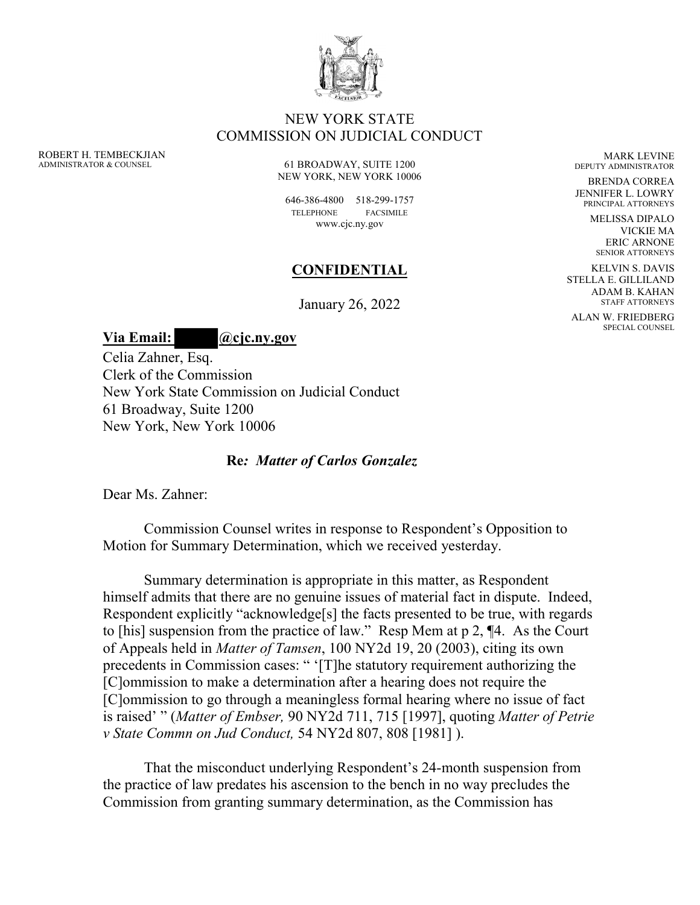

## NEW YORK STATE COMMISSION ON JUDICIAL CONDUCT

ROBERT H. TEMBECKJIAN ADMINISTRATOR & COUNSEL

61 BROADWAY, SUITE 1200 NEW YORK, NEW YORK 10006

646-386-4800 518-299-1757 TELEPHONE FACSIMILE www.cjc.ny.gov

## **CONFIDENTIAL**

January 26, 2022

**Via Email: @cjc.ny.gov**

Celia Zahner, Esq. Clerk of the Commission New York State Commission on Judicial Conduct 61 Broadway, Suite 1200 New York, New York 10006

## **Re***: Matter of Carlos Gonzalez*

Dear Ms. Zahner:

 Commission Counsel writes in response to Respondent's Opposition to Motion for Summary Determination, which we received yesterday.

 Summary determination is appropriate in this matter, as Respondent himself admits that there are no genuine issues of material fact in dispute. Indeed, Respondent explicitly "acknowledge[s] the facts presented to be true, with regards to [his] suspension from the practice of law." Resp Mem at p 2, ¶4. As the Court of Appeals held in *Matter of Tamsen*, 100 NY2d 19, 20 (2003), citing its own precedents in Commission cases: " '[T]he statutory requirement authorizing the [C]ommission to make a determination after a hearing does not require the [C]ommission to go through a meaningless formal hearing where no issue of fact is raised' " (*Matter of Embser,* [90 NY2d 711, 715 \[1997\],](https://1.next.westlaw.com/Link/Document/FullText?findType=Y&serNum=1997230020&pubNum=578&originatingDoc=I3d297fffd9dd11d9a489ee624f1f6e1a&refType=RP&originationContext=document&transitionType=DocumentItem&ppcid=432e189d8dba4e4c858a6543121bfa45&contextData=(sc.Search)) quoting *[Matter of Petrie](https://1.next.westlaw.com/Link/Document/FullText?findType=Y&serNum=1981147736&pubNum=578&originatingDoc=I3d297fffd9dd11d9a489ee624f1f6e1a&refType=RP&originationContext=document&transitionType=DocumentItem&ppcid=432e189d8dba4e4c858a6543121bfa45&contextData=(sc.Search))  [v State Commn on Jud Conduct,](https://1.next.westlaw.com/Link/Document/FullText?findType=Y&serNum=1981147736&pubNum=578&originatingDoc=I3d297fffd9dd11d9a489ee624f1f6e1a&refType=RP&originationContext=document&transitionType=DocumentItem&ppcid=432e189d8dba4e4c858a6543121bfa45&contextData=(sc.Search))* 54 NY2d 807, 808 [1981] ).

That the misconduct underlying Respondent's 24-month suspension from the practice of law predates his ascension to the bench in no way precludes the Commission from granting summary determination, as the Commission has

MARK LEVINE DEPUTY ADMINISTRATOR

BRENDA CORREA JENNIFER L. LOWRY PRINCIPAL ATTORNEYS

> MELISSA DIPALO VICKIE MA ERIC ARNONE SENIOR ATTORNEYS

KELVIN S. DAVIS STELLA E. GILLILAND ADAM B. KAHAN STAFF ATTORNEYS

ALAN W. FRIEDBERG SPECIAL COUNSEL